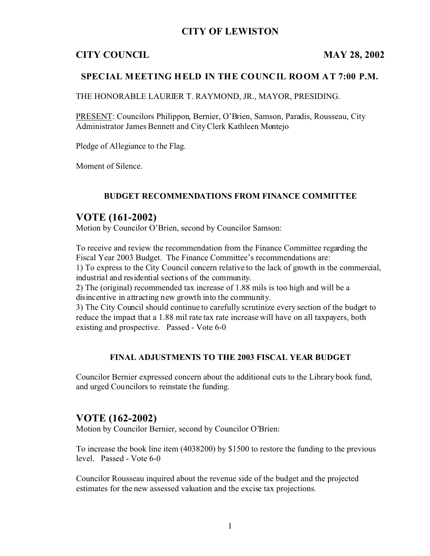## **CITY OF LEWISTON**

#### **CITY COUNCIL MAY 28, 2002**

#### **SPECIAL MEETING HELD IN THE COUNCIL ROOM AT 7:00 P.M.**

THE HONORABLE LAURIER T. RAYMOND, JR., MAYOR, PRESIDING.

PRESENT: Councilors Philippon, Bernier, O'Brien, Samson, Paradis, Rousseau, City Administrator James Bennett and City Clerk Kathleen Montejo

Pledge of Allegiance to the Flag.

Moment of Silence.

#### **BUDGET RECOMMENDATIONS FROM FINANCE COMMITTEE**

#### **VOTE (161-2002)**

Motion by Councilor O'Brien, second by Councilor Samson:

To receive and review the recommendation from the Finance Committee regarding the Fiscal Year 2003 Budget. The Finance Committee's recommendations are: 1) To express to the City Council concern relative to the lack of growth in the commercial, industrial and residential sections of the community.

2) The (original) recommended tax increase of 1.88 mils is too high and will be a disincentive in attracting new growth into the community.

3) The City Council should continue to carefully scrutinize every section of the budget to reduce the impact that a 1.88 mil rate tax rate increase will have on all taxpayers, both existing and prospective. Passed - Vote 6-0

#### **FINAL ADJUSTMENTS TO THE 2003 FISCAL YEAR BUDGET**

Councilor Bernier expressed concern about the additional cuts to the Library book fund, and urged Councilors to reinstate the funding.

#### **VOTE (162-2002)**

Motion by Councilor Bernier, second by Councilor O'Brien:

To increase the book line item (4038200) by \$1500 to restore the funding to the previous level. Passed - Vote 6-0

Councilor Rousseau inquired about the revenue side of the budget and the projected estimates for the new assessed valuation and the excise tax projections.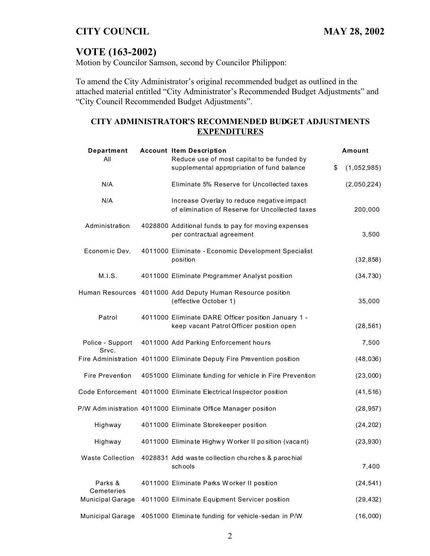## **VOTE (163-2002)**

Motion by Councilor Samson, second by Councilor Philippon:

To amend the City Administrator's original recommended budget as outlined in the attached material entitled "City Administrator's Recommended Budget Adjustments" and "City Council Recommended Budget Adjustments".

#### **CITY ADMINISTRATOR'S RECOMMENDED BUDGET ADJUSTMENTS EXPENDITURES**

| Department<br>All                     | <b>Account Item Description</b><br>Reduce use of most capital to be funded by                   | Amount            |
|---------------------------------------|-------------------------------------------------------------------------------------------------|-------------------|
|                                       | supplemental appropriation of fund balance                                                      | \$<br>(1,052,985) |
| N/A                                   | Eliminate 5% Reserve for Uncollected taxes                                                      | (2,050,224)       |
| N/A                                   | Increase Overlay to reduce negative impact<br>of elimination of Reserve for Uncollected taxes   | 200,000           |
| Administration                        | 4028800 Additional funds to pay for moving expenses<br>per contractual agreement                | 3,500             |
| Economic Dev.                         | 4011000 Eliminate - Economic Development Specialist<br>position                                 | (32, 858)         |
| M.I.S.                                | 4011000 Eliminate Programmer Analyst position                                                   | (34, 730)         |
|                                       | Human Resources 4011000 Add Deputy Human Resource position<br>(effective October 1)             | 35,000            |
| Patrol                                | 4011000 Eliminate DARE Officer position January 1 -<br>keep vacant Patrol Officer position open | (28, 561)         |
| Police - Support<br>Srvc.             | 4011000 Add Parking Enforcement hours                                                           | 7,500             |
|                                       | Fire Administration 4011000 Eliminate Deputy Fire Prevention position                           | (48, 036)         |
| <b>Fire Prevention</b>                | 4051000 Eliminate funding for vehicle in Fire Prevention                                        | (23,000)          |
|                                       | Code Enforcement 4011000 Eliminate Electrical Inspector position                                | (41, 516)         |
|                                       | P/W Administration 4011000 Eliminate Office Manager position                                    | (28, 957)         |
| Highway                               | 4011000 Eliminate Storekeeper position                                                          | (24, 202)         |
| Highway                               | 4011000 Eliminate Highwy Worker II position (vacant)                                            | (23, 930)         |
| <b>Waste Collection</b>               | 4028831 Add waste collection churches & parochial<br>schools                                    | 7,400             |
| Parks &                               | 4011000 Eliminate Parks Worker II position                                                      | (24, 541)         |
| Cemeteries<br><b>Municipal Garage</b> | 4011000 Eliminate Equipment Servicer position                                                   | (29, 432)         |
| <b>Municipal Garage</b>               | 4051000 Eliminate funding for vehicle-sedan in P/W                                              | (16,000)          |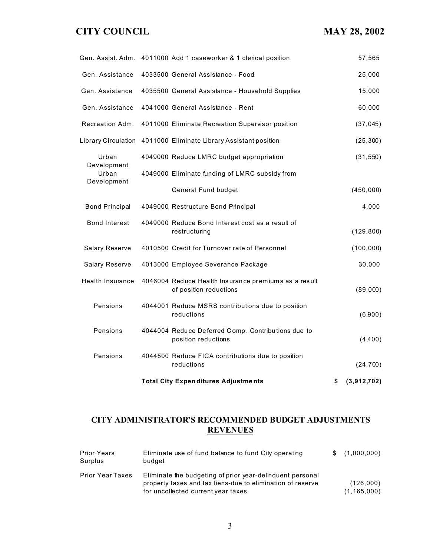|                         | <b>Total City Expenditures Adjustments</b>                                     | \$<br>(3,912,702) |
|-------------------------|--------------------------------------------------------------------------------|-------------------|
| Pensions                | 4044500 Reduce FICA contributions due to position<br>reductions                | (24, 700)         |
| Pensions                | 4044004 Reduce Deferred Comp. Contributions due to<br>position reductions      | (4,400)           |
| Pensions                | 4044001 Reduce MSRS contributions due to position<br>reductions                | (6,900)           |
| <b>Health Insurance</b> | 4046004 Reduce Health Insurance premiums as a result<br>of position reductions | (89,000)          |
| <b>Salary Reserve</b>   | 4013000 Employee Severance Package                                             | 30,000            |
| <b>Salary Reserve</b>   | 4010500 Credit for Turnover rate of Personnel                                  | (100, 000)        |
| <b>Bond Interest</b>    | 4049000 Reduce Bond Interest cost as a result of<br>restructuring              | (129, 800)        |
| <b>Bond Principal</b>   | 4049000 Restructure Bond Principal                                             | 4,000             |
|                         | <b>General Fund budget</b>                                                     | (450,000)         |
| Urban<br>Development    | 4049000 Eliminate funding of LMRC subsidy from                                 |                   |
| Urban<br>Development    | 4049000 Reduce LMRC budget appropriation                                       | (31, 550)         |
|                         | Library Circulation 4011000 Eliminate Library Assistant position               | (25, 300)         |
| Recreation Adm.         | 4011000 Eliminate Recreation Supervisor position                               | (37, 045)         |
| Gen. Assistance         | 4041000 General Assistance - Rent                                              | 60,000            |
| Gen. Assistance         | 4035500 General Assistance - Household Supplies                                | 15,000            |
| Gen. Assistance         | 4033500 General Assistance - Food                                              | 25,000            |
|                         | Gen. Assist. Adm. 4011000 Add 1 caseworker & 1 clerical position               | 57,565            |

## **CITY ADMINISTRATOR'S RECOMMENDED BUDGET ADJUSTMENTS REVENUES**

| <b>Prior Years</b><br>Surplus | Eliminate use of fund balance to fund City operating<br>budget                                                                                                | \$(1,000,000)              |
|-------------------------------|---------------------------------------------------------------------------------------------------------------------------------------------------------------|----------------------------|
| <b>Prior Year Taxes</b>       | Eliminate the budgeting of prior year-delinguent personal<br>property taxes and tax liens-due to elimination of reserve<br>for uncollected current year taxes | (126,000)<br>(1, 165, 000) |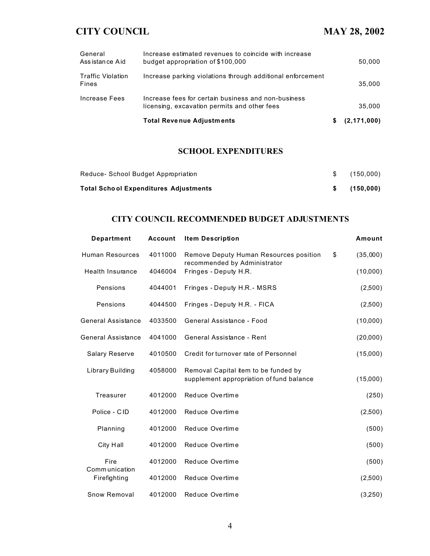|                                   | <b>Total Revenue Adjustments</b>                                                                    | S. | (2, 171, 000) |
|-----------------------------------|-----------------------------------------------------------------------------------------------------|----|---------------|
| Increase Fees                     | Increase fees for certain business and non-business<br>licensing, excavation permits and other fees |    | 35.000        |
| <b>Traffic Violation</b><br>Fines | Increase parking violations through additional enforcement                                          |    | 35.000        |
| General<br>Assistance Aid         | Increase estimated revenues to coincide with increase<br>budget appropriation of \$100,000          |    | 50,000        |

#### **SCHOOL EXPENDITURES**

| Reduce- School Budget Appropriation          | \$ (150,000) |
|----------------------------------------------|--------------|
| <b>Total School Expenditures Adjustments</b> | \$(150,000)  |

## **CITY COUNCIL RECOMMENDED BUDGET ADJUSTMENTS**

| <b>Department</b>       | <b>Account</b> | <b>Item Description</b>                                                          | Amount         |
|-------------------------|----------------|----------------------------------------------------------------------------------|----------------|
| <b>Human Resources</b>  | 4011000        | Remove Deputy Human Resources position<br>recommended by Administrator           | \$<br>(35,000) |
| <b>Health Insurance</b> | 4046004        | Fringes - Deputy H.R.                                                            | (10,000)       |
| Pensions                | 4044001        | Fringes - Deputy H.R.- MSRS                                                      | (2,500)        |
| Pensions                | 4044500        | Fringes - Deputy H.R. - FICA                                                     | (2,500)        |
| General Assistance      | 4033500        | General Assistance - Food                                                        | (10,000)       |
| General Assistance      | 4041000        | General Assistance - Rent                                                        | (20,000)       |
| <b>Salary Reserve</b>   | 4010500        | Credit for turnover rate of Personnel                                            | (15,000)       |
| Library Building        | 4058000        | Removal Capital item to be funded by<br>supplement appropriation of fund balance | (15,000)       |
| <b>Treasurer</b>        | 4012000        | Reduce Overtime                                                                  | (250)          |
| Police - CID            | 4012000        | Reduce Overtime                                                                  | (2,500)        |
| Planning                | 4012000        | Reduce Overtime                                                                  | (500)          |
| City Hall               | 4012000        | Reduce Overtime                                                                  | (500)          |
| Fire<br>Communication   | 4012000        | Reduce Overtime                                                                  | (500)          |
| Firefighting            | 4012000        | Reduce Overtime                                                                  | (2,500)        |
| <b>Snow Removal</b>     | 4012000        | Reduce Overtime                                                                  | (3,250)        |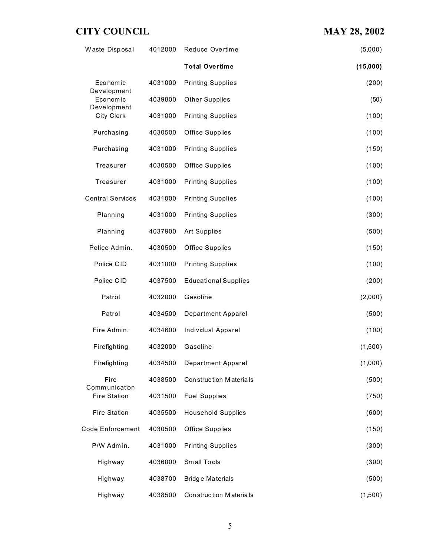| Waste Disposal                        | 4012000 | Reduce Overtime             | (5,000)  |
|---------------------------------------|---------|-----------------------------|----------|
|                                       |         | <b>Total Overtime</b>       | (15,000) |
| Eco nom ic                            | 4031000 | <b>Printing Supplies</b>    | (200)    |
| Development<br>Economic               | 4039800 | <b>Other Supplies</b>       | (50)     |
| Development<br><b>City Clerk</b>      | 4031000 | <b>Printing Supplies</b>    | (100)    |
| Purchasing                            | 4030500 | Office Supplies             | (100)    |
| Purchasing                            | 4031000 | <b>Printing Supplies</b>    | (150)    |
| Treasurer                             | 4030500 | <b>Office Supplies</b>      | (100)    |
| Treasurer                             | 4031000 | <b>Printing Supplies</b>    | (100)    |
| <b>Central Services</b>               | 4031000 | <b>Printing Supplies</b>    | (100)    |
| Planning                              | 4031000 | <b>Printing Supplies</b>    | (300)    |
| Planning                              | 4037900 | <b>Art Supplies</b>         | (500)    |
| Police Admin.                         | 4030500 | Office Supplies             | (150)    |
| Police CID                            | 4031000 | <b>Printing Supplies</b>    | (100)    |
| Police CID                            | 4037500 | <b>Educational Supplies</b> | (200)    |
| Patrol                                | 4032000 | Gasoline                    | (2,000)  |
| Patrol                                | 4034500 | <b>Department Apparel</b>   | (500)    |
| Fire Admin.                           | 4034600 | Individual Apparel          | (100)    |
| Firefighting                          | 4032000 | Gasoline                    | (1,500)  |
| Firefighting                          | 4034500 | <b>Department Apparel</b>   | (1,000)  |
| Fire                                  | 4038500 | Construction Materials      | (500)    |
| Comm unication<br><b>Fire Station</b> | 4031500 | <b>Fuel Supplies</b>        | (750)    |
| <b>Fire Station</b>                   | 4035500 | <b>Household Supplies</b>   | (600)    |
| <b>Code Enforcement</b>               | 4030500 | Office Supplies             | (150)    |
| P/W Admin.                            | 4031000 | <b>Printing Supplies</b>    | (300)    |
| Highway                               | 4036000 | Small Tools                 | (300)    |
| Highway                               | 4038700 | Bridge Materials            | (500)    |
| Highway                               | 4038500 | Construction Materials      | (1,500)  |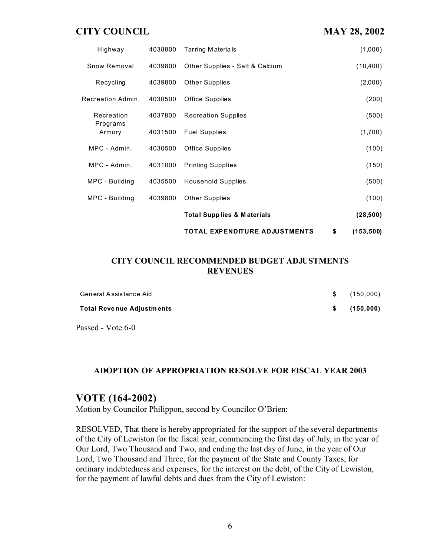|                    |         | <b>TOTAL EXPENDITURE ADJUSTMENTS</b>  | \$<br>(153, 500) |
|--------------------|---------|---------------------------------------|------------------|
|                    |         | <b>Total Supplies &amp; Materials</b> | (28, 500)        |
| MPC - Building     | 4039800 | <b>Other Supplies</b>                 | (100)            |
| MPC - Building     | 4035500 | <b>Household Supplies</b>             | (500)            |
| MPC - Admin.       | 4031000 | <b>Printing Supplies</b>              | (150)            |
| MPC - Admin.       | 4030500 | Office Supplies                       | (100)            |
| Programs<br>Armory | 4031500 | <b>Fuel Supplies</b>                  | (1,700)          |
| Recreation         | 4037800 | <b>Recreation Supplies</b>            | (500)            |
| Recreation Admin.  | 4030500 | <b>Office Supplies</b>                | (200)            |
| Recycling          | 4039800 | <b>Other Supplies</b>                 | (2,000)          |
| Snow Removal       | 4039800 | Other Supplies - Salt & Calcium       | (10, 400)        |
| Highway            | 4038800 | <b>Tarring Materials</b>              | (1,000)          |

#### **CITY COUNCIL RECOMMENDED BUDGET ADJUSTMENTS REVENUES**

| General Assistance Aid           | $\mathbb{S}$ | (150,000)   |
|----------------------------------|--------------|-------------|
| <b>Total Revenue Adjustments</b> |              | \$(150,000) |

Passed - Vote 6-0

#### **ADOPTION OF APPROPRIATION RESOLVE FOR FISCAL YEAR 2003**

#### **VOTE (164-2002)**

Motion by Councilor Philippon, second by Councilor O'Brien:

RESOLVED, That there is hereby appropriated for the support of the several departments of the City of Lewiston for the fiscal year, commencing the first day of July, in the year of Our Lord, Two Thousand and Two, and ending the last day of June, in the year of Our Lord, Two Thousand and Three, for the payment of the State and County Taxes, for ordinary indebtedness and expenses, for the interest on the debt, of the City of Lewiston, for the payment of lawful debts and dues from the City of Lewiston: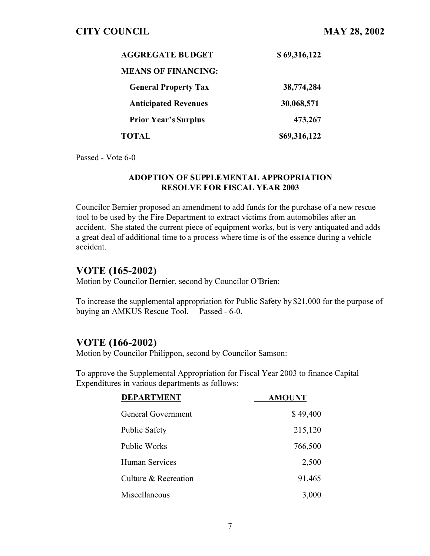| <b>AGGREGATE BUDGET</b>     | \$69,316,122 |
|-----------------------------|--------------|
| <b>MEANS OF FINANCING:</b>  |              |
| <b>General Property Tax</b> | 38,774,284   |
| <b>Anticipated Revenues</b> | 30,068,571   |
| <b>Prior Year's Surplus</b> | 473,267      |
| TOTAL                       | \$69,316,122 |

Passed - Vote 6-0

#### **ADOPTION OF SUPPLEMENTAL APPROPRIATION RESOLVE FOR FISCAL YEAR 2003**

Councilor Bernier proposed an amendment to add funds for the purchase of a new rescue tool to be used by the Fire Department to extract victims from automobiles after an accident. She stated the current piece of equipment works, but is very antiquated and adds a great deal of additional time to a process where time is of the essence during a vehicle accident.

## **VOTE (165-2002)**

Motion by Councilor Bernier, second by Councilor O'Brien:

To increase the supplemental appropriation for Public Safety by \$21,000 for the purpose of buying an AMKUS Rescue Tool. Passed - 6-0.

## **VOTE (166-2002)**

Motion by Councilor Philippon, second by Councilor Samson:

To approve the Supplemental Appropriation for Fiscal Year 2003 to finance Capital Expenditures in various departments as follows:

| <b>DEPARTMENT</b>     | <b>AMOUNT</b> |
|-----------------------|---------------|
| General Government    | \$49,400      |
| <b>Public Safety</b>  | 215,120       |
| <b>Public Works</b>   | 766,500       |
| <b>Human Services</b> | 2,500         |
| Culture & Recreation  | 91,465        |
| Miscellaneous         | 3,000         |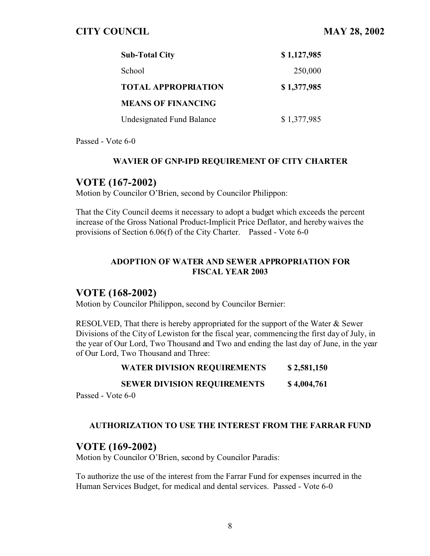| <b>Sub-Total City</b>      | \$1,127,985 |
|----------------------------|-------------|
| School                     | 250,000     |
| <b>TOTAL APPROPRIATION</b> | \$1,377,985 |
| <b>MEANS OF FINANCING</b>  |             |
| Undesignated Fund Balance  | \$1,377,985 |

Passed - Vote 6-0

#### **WAVIER OF GNP-IPD REQUIREMENT OF CITY CHARTER**

## **VOTE (167-2002)**

Motion by Councilor O'Brien, second by Councilor Philippon:

That the City Council deems it necessary to adopt a budget which exceeds the percent increase of the Gross National Product-Implicit Price Deflator, and hereby waives the provisions of Section 6.06(f) of the City Charter. Passed - Vote 6-0

#### **ADOPTION OF WATER AND SEWER APPROPRIATION FOR FISCAL YEAR 2003**

## **VOTE (168-2002)**

Motion by Councilor Philippon, second by Councilor Bernier:

RESOLVED, That there is hereby appropriated for the support of the Water & Sewer Divisions of the City of Lewiston for the fiscal year, commencing the first day of July, in the year of Our Lord, Two Thousand and Two and ending the last day of June, in the year of Our Lord, Two Thousand and Three:

#### **WATER DIVISION REQUIREMENTS \$ 2,581,150**

#### **SEWER DIVISION REQUIREMENTS \$ 4,004,761**

Passed - Vote 6-0

#### **AUTHORIZATION TO USE THE INTEREST FROM THE FARRAR FUND**

## **VOTE (169-2002)**

Motion by Councilor O'Brien, second by Councilor Paradis:

To authorize the use of the interest from the Farrar Fund for expenses incurred in the Human Services Budget, for medical and dental services. Passed - Vote 6-0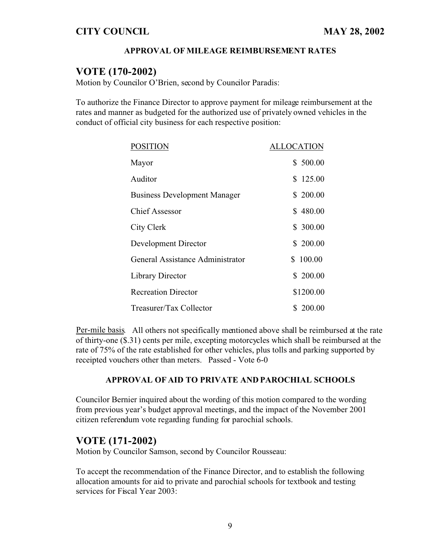#### **APPROVAL OF MILEAGE REIMBURSEMENT RATES**

## **VOTE (170-2002)**

Motion by Councilor O'Brien, second by Councilor Paradis:

To authorize the Finance Director to approve payment for mileage reimbursement at the rates and manner as budgeted for the authorized use of privately owned vehicles in the conduct of official city business for each respective position:

| <b>POSITION</b>                     | LLOCATION    |
|-------------------------------------|--------------|
| Mayor                               | \$500.00     |
| Auditor                             | \$125.00     |
| <b>Business Development Manager</b> | \$200.00     |
| <b>Chief Assessor</b>               | \$480.00     |
| City Clerk                          | \$ 300.00    |
| Development Director                | \$200.00     |
| General Assistance Administrator    | 100.00<br>S. |
| Library Director                    | \$200.00     |
| <b>Recreation Director</b>          | \$1200.00    |
| Treasurer/Tax Collector             | \$ 200.00    |

Per-mile basis. All others not specifically mentioned above shall be reimbursed at the rate of thirty-one (\$.31) cents per mile, excepting motorcycles which shall be reimbursed at the rate of 75% of the rate established for other vehicles, plus tolls and parking supported by receipted vouchers other than meters. Passed - Vote 6-0

#### **APPROVAL OF AID TO PRIVATE AND PAROCHIAL SCHOOLS**

Councilor Bernier inquired about the wording of this motion compared to the wording from previous year's budget approval meetings, and the impact of the November 2001 citizen referendum vote regarding funding for parochial schools.

## **VOTE (171-2002)**

Motion by Councilor Samson, second by Councilor Rousseau:

To accept the recommendation of the Finance Director, and to establish the following allocation amounts for aid to private and parochial schools for textbook and testing services for Fiscal Year 2003: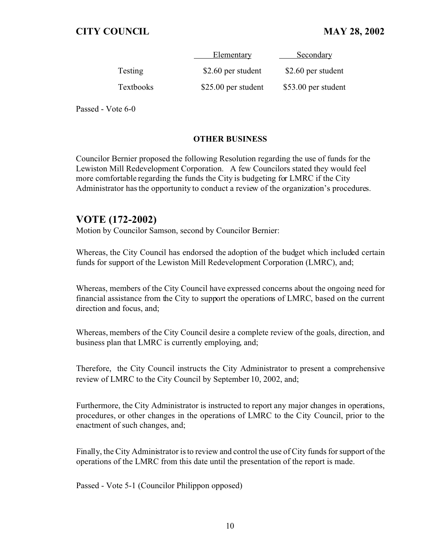|                  | Elementary          | Secondary           |
|------------------|---------------------|---------------------|
| Testing          | \$2.60 per student  | \$2.60 per student  |
| <b>Textbooks</b> | \$25.00 per student | \$53.00 per student |

Passed - Vote 6-0

#### **OTHER BUSINESS**

Councilor Bernier proposed the following Resolution regarding the use of funds for the Lewiston Mill Redevelopment Corporation. A few Councilors stated they would feel more comfortable regarding the funds the City is budgeting for LMRC if the City Administrator has the opportunity to conduct a review of the organization's procedures.

## **VOTE (172-2002)**

Motion by Councilor Samson, second by Councilor Bernier:

Whereas, the City Council has endorsed the adoption of the budget which included certain funds for support of the Lewiston Mill Redevelopment Corporation (LMRC), and;

Whereas, members of the City Council have expressed concerns about the ongoing need for financial assistance from the City to support the operations of LMRC, based on the current direction and focus, and;

Whereas, members of the City Council desire a complete review of the goals, direction, and business plan that LMRC is currently employing, and;

Therefore, the City Council instructs the City Administrator to present a comprehensive review of LMRC to the City Council by September 10, 2002, and;

Furthermore, the City Administrator is instructed to report any major changes in operations, procedures, or other changes in the operations of LMRC to the City Council, prior to the enactment of such changes, and;

Finally, the City Administrator is to review and control the use of City funds for support of the operations of the LMRC from this date until the presentation of the report is made.

Passed - Vote 5-1 (Councilor Philippon opposed)